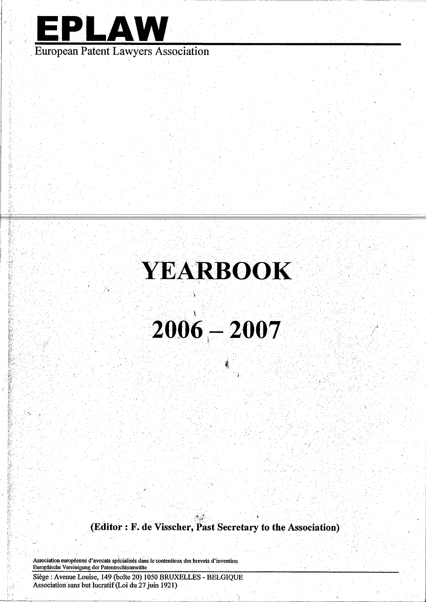

## **YEARBOOK**

# $2006 - 2007$

(Editor : F. de Visscher, Past Secretary to the Association)

Association européenne d'avocats spécialisés dans le contentieux des brevets d'invention Europäische Vereinigung der Patentrechtsanwälte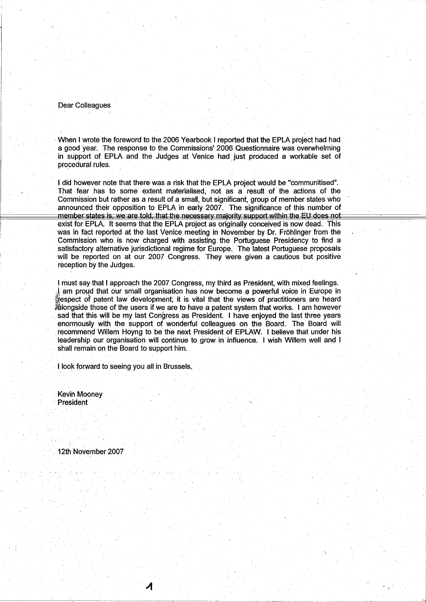#### Dear Colleagues

, When I wrote the foreword to the 2006 Yearbook i reported that the EPLA project had had a good year. The response to the Commissions' 2006 Questionnaire was overwhelming in support of EPLA and the Judges at Venice had just produced a workable set of procedural rules. .

I did however note that there was a risk that the EPLA project would be "communitised". That fear has to some extent materialised, not as a result of the actions of the Commission but rather as a result of a small, but significant, group of member states who announced their opposition to EPLA in early 2007. The significance of this number of member states is, we are told, that the necessary majority support within the EU does not exist for EPLA. It seems that the EPLA project as originally conceived is now dead. This was in fact reported at the last Venice meeting in November by Dr. Fröhlinger from the Commission who is now charged with assisting the Portuguese Presidency to find a satisfactory alternative jurisdictional regime for Europe. The latest Portuguese proposals will be reported on at our 2007 Congress. They were given a cautious but positive reception by the Judges.

I must say that I approach the 2007 Congress, my third as President, with mixed feelings. spect of patent law development; it is vital that the views of practitioners are heard I am proud that our small organisation has now become a powerful voice in Europe in lålongside those of the users if we are to have a patent system that works. I am however sad that this will be my last Congress as President. I have enjoyed the last three years enormously with the support of wonderful colleagues on the Board. The Board wil .recommend Wilem Hoyng to be the next President. of. EPLAW. I believe that under his leadership our organisation wil continue to grow in influence. I wish Wilem well and i . shall remain on the Board to support him.

. i lOOk forward to seeing you all in Brussels,

 $\blacktriangleleft$ 

j<br>J

Kevin Mooney . President

12th November 2007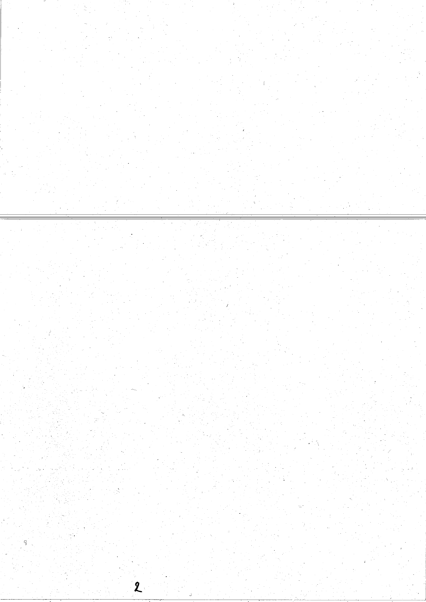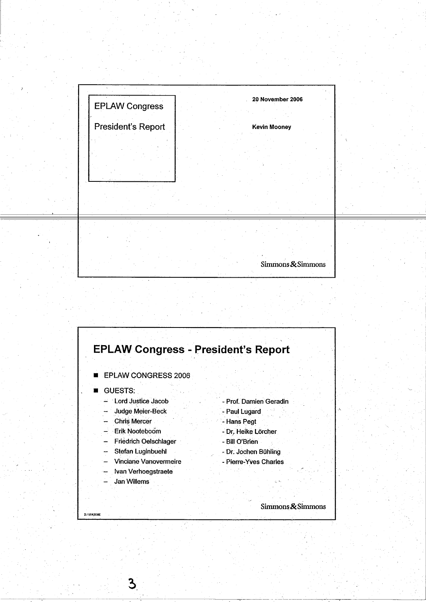



3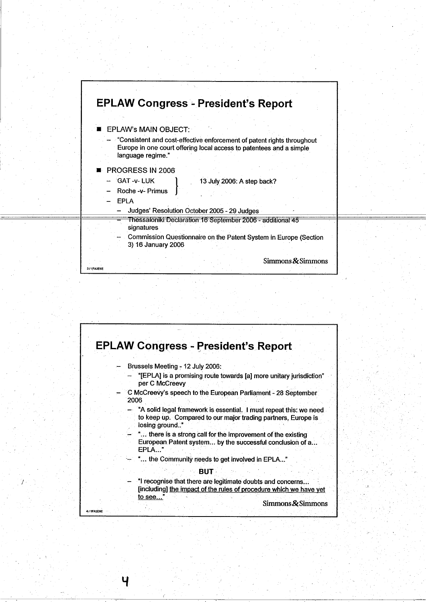



Ч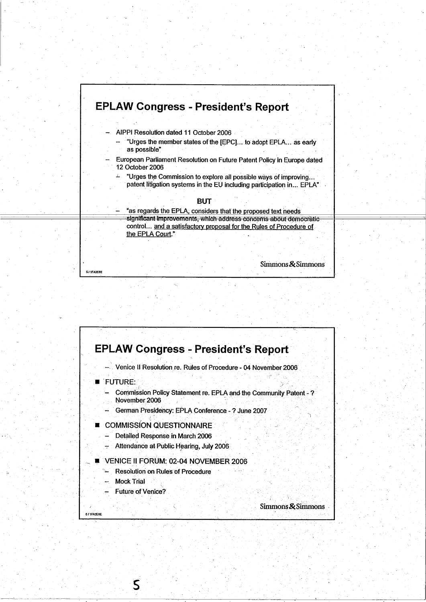### **EPLAW Congress - President's Report**

AIPPI Resolution dated 11 October 2006

"Urges the member states of the [EPC]... to adopt EPLA... as early as possible"

European Parliament Resolution on Future Patent Policy in Europe dated 12 October 2006

"Urges the Commission to explore all possible ways of improving... patent litigation systems in the EU including participation in... EPLA"

#### **BUT**

"as regards the EPLA, considers that the proposed text needs significant-improvements, which address concerns about democratic control... and a satisfactory proposal for the Rules of Procedure of the EPLA Court."

Simmons & Simmons

571FA2E6E

**EPLAW Congress - President's Report** - Venice II Resolution re. Rules of Procedure - 04 November 2006 **FUTURE:** Commission Policy Statement re. EPLA and the Community Patent - ? November 2006 German Presidency: EPLA Conference - ? June 2007 **COMMISSION QUESTIONNAIRE** Detailed Response in March 2006 Attendance at Public Hearing, July 2006 ÷ VENICE II FORUM: 02-04 NOVEMBER 2006 **Resolution on Rules of Procedure Mock Trial Future of Venice?** Simmons & Simmons 6/1FA2E6E

5